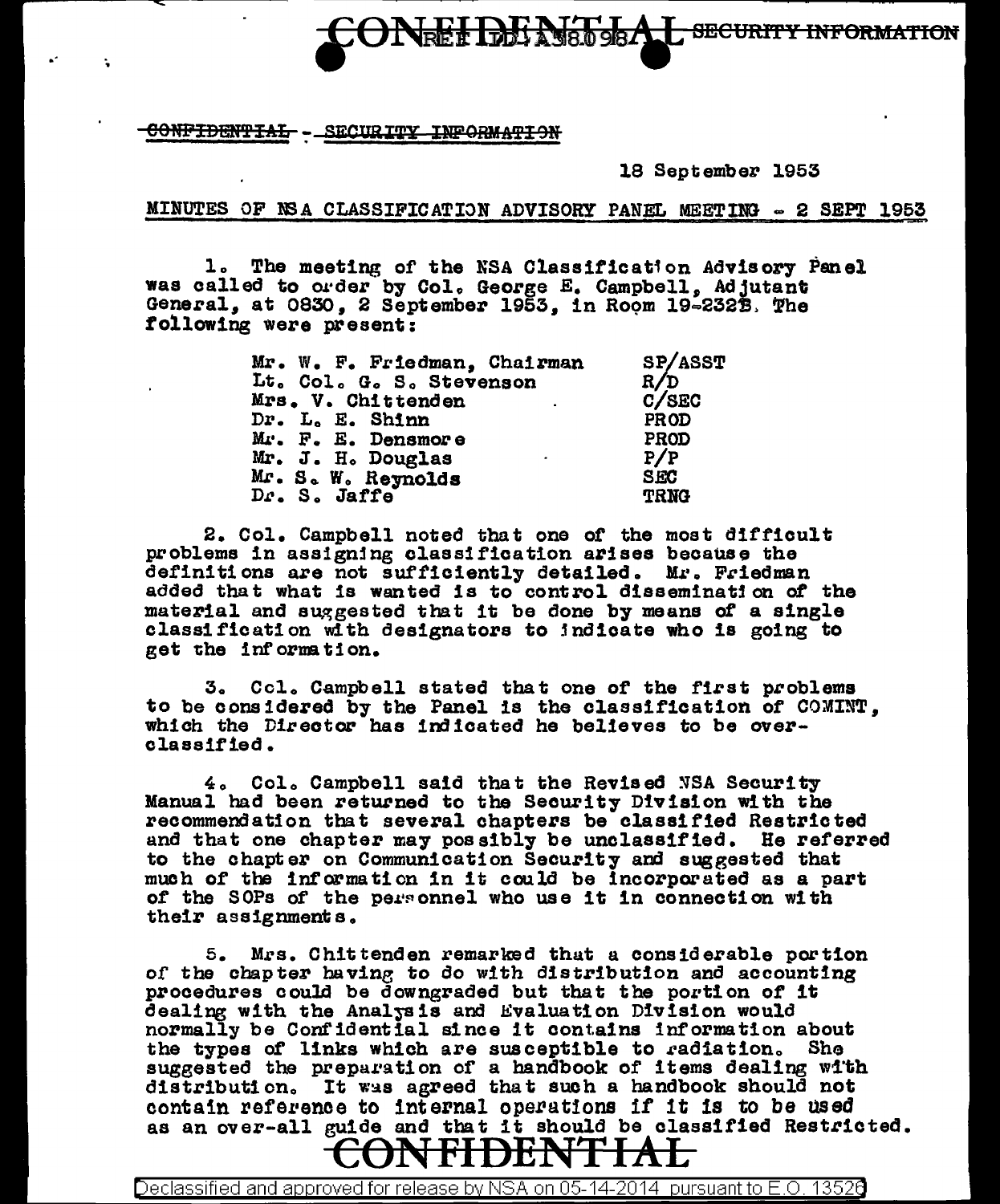SECURITY INFORMATION

CONFIDENTIAL - SECURITY INFORMATION

18 September 1953

MINUTES OF NSA CLASSIFICATION ADVISORY PANEL MEETING - 2 SEPT 1953

The meeting of the NSA Classification Advisory Panel  $\mathbf 1$ . was called to order by Col. George E. Campbell, Adjutant General, at 0830, 2 September 1953, in Room 19-2323. The following were present:

| Mr. W. F. Friedman, Chairman                 | SP/ASST     |
|----------------------------------------------|-------------|
| Lt. Col. G. S. Stevenson                     | R/D         |
| Mrs. V. Chittenden<br>and the company of the | C/SEC       |
| Dr. L. E. Shinn                              | PROD        |
| Mr. F. E. Densmore                           | PROD        |
| Mr. J. H. Douglas<br>$\sim$ 100 $\pm$        | P/P         |
| Mr. S. W. Reynolds                           | <b>SEC</b>  |
| Dr. S. Jaffe                                 | <b>TRNG</b> |

2. Col. Campbell noted that one of the most difficult problems in assigning classification arises because the definitions are not sufficiently detailed. Mr. Friedman added that what is wanted is to control dissemination of the material and suggested that it be done by means of a single classification with designators to indicate who is going to get the information.

Col. Campbell stated that one of the first problems 3. to be considered by the Panel is the classification of COMINT. which the Director has indicated he believes to be overclassified.

4. Col. Campbell said that the Revised NSA Security Manual had been returned to the Security Division with the recommendation that several chapters be classified Restricted and that one chapter may possibly be unclassified. He referred to the chapter on Communication Security and suggested that much of the information in it could be incorporated as a part of the SOPs of the personnel who use it in connection with their assignments.

5. Mrs. Chittenden remarked that a considerable portion of the chapter having to do with distribution and accounting procedures could be downgraded but that the portion of it dealing with the Analysis and Evaluation Division would normally be Confidential since it contains information about the types of links which are susceptible to radiation. She suggested the preparation of a handbook of items dealing with distribution. It was agreed that such a handbook should not contain reference to internal operations if it is to be used as an over-all guide and that it should be classified Restricted. NFHDEN

Declassified and approved for release by NSA on 05-14-2014  $\,$  pursuant to E.O. 1352 $0$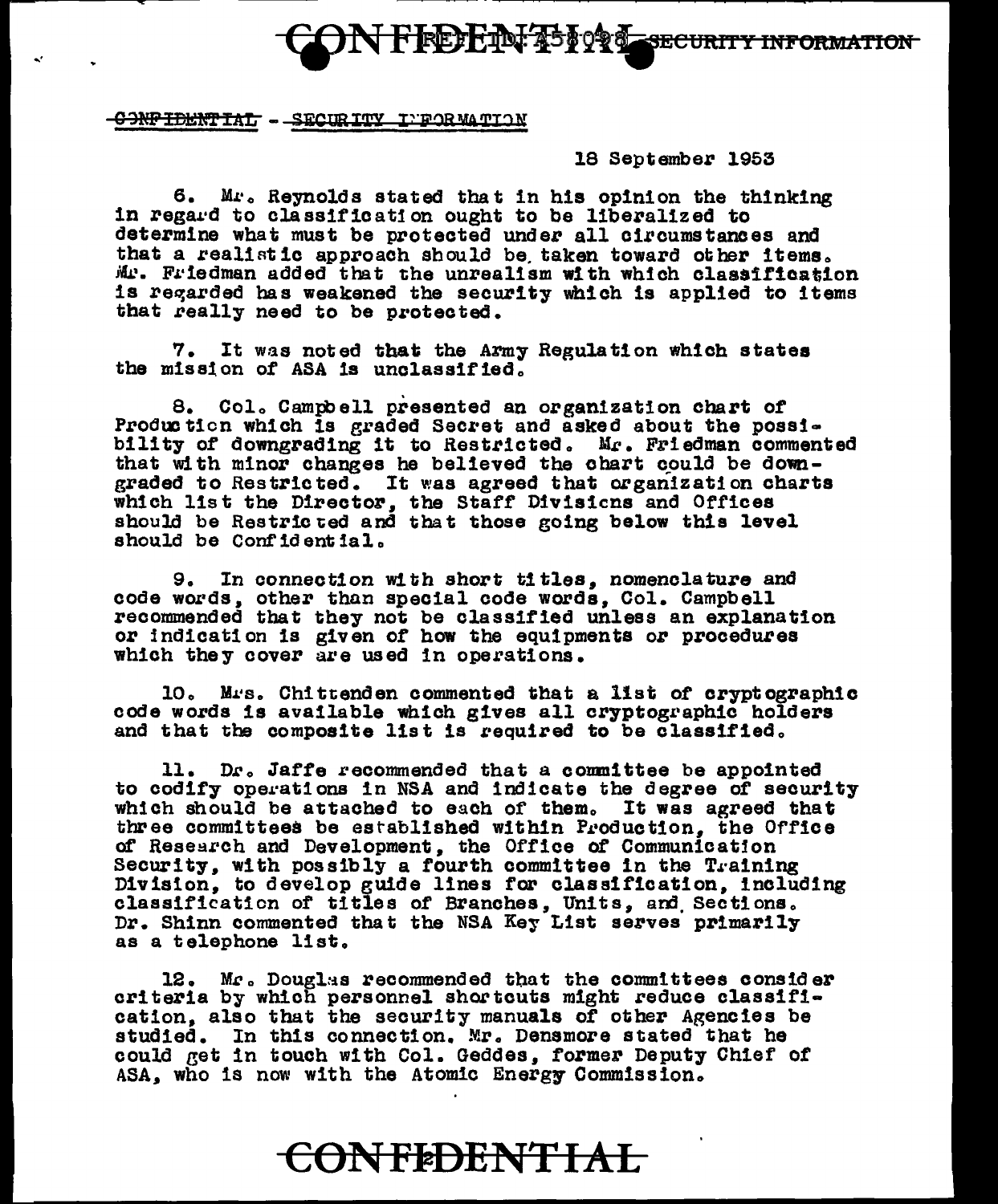FREEL TINT ASEORS SECURITY INFORMATION

-GONFIDENTIAL - SECURITY INFORMATION

18 September 1953

6. Mr. Reynolds stated that in his opinion the thinking in regard to classification ought to be liberalized to determine what must be protected under all circumstances and that a realistic approach should be taken toward other items. Mr. Friedman added that the unrealism with which classification is regarded has weakened the security which is applied to items that really need to be protected.

7. It was noted that the Army Regulation which states the mission of ASA is unclassified.

8. Col. Campbell presented an organization chart of Production which is graded Secret and asked about the possibility of downgrading it to Restricted. Mr. Friedman commented that with minor changes he believed the chart could be downgraded to Restricted. It was agreed that organization charts which list the Director, the Staff Divisions and Offices should be Restricted and that those going below this level should be Confidential.

9. In connection with short titles, nomenclature and code words, other than special code words, Col. Campbell recommended that they not be classified unless an explanation or indication is given of how the equipments or procedures which they cover are used in operations.

10. Mrs. Chittenden commented that a list of cryptographic code words is available which gives all cryptographic holders and that the composite list is required to be classified.

11. Dr. Jaffe recommended that a committee be appointed to codify operations in NSA and indicate the degree of security which should be attached to each of them. It was agreed that three committees be established within Production, the Office of Research and Development, the Office of Communication Security, with possibly a fourth committee in the Training Division, to develop guide lines for classification, including classification of titles of Branches, Units, and Sections. Dr. Shinn commented that the NSA Key List serves primarily as a telephone list.

12. Mr. Douglas recommended that the committees consider criteria by which personnel shortcuts might reduce classification, also that the security manuals of other Agencies be studied. In this connection. Mr. Densmore stated that he could get in touch with Col. Geddes, former Deputy Chief of ASA, who is now with the Atomic Energy Commission.

## CONFEDENTIAL